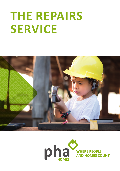# **THE REPAIRS SERVICE**



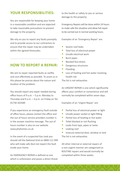#### **YOUR RESPONSIBILITIES:**

You are responsible for keeping your home in a reasonable condition and are expected to take reasonable precautions to prevent damage to the property.

We rely on you to report any faults promptly and to provide access to our contractors to ensure that the repair may be undertaken within the agreed timescales.

#### **HOW TO REPORT A REPAIR:**

We aim to repair reported faults as swiftly and cost effectively as possible. To assist us in this please be precise about the nature and location of the problem.

You should report any repair needed during office hours of 9 a.m. – 5 p.m. Monday to Thursday and  $9$  a.m.  $-4$  p.m. on Friday on Tel: 01730 263589

If you experience an emergency fault outside of office hours, please contact the office and the out of hours service providers number is in the answer machine message. The out of hours number is also on our website www.phahomes.co.uk

In the event of a suspected Gas Leak you should call the National Grid on 0800 111 999 who will make safe (but not repair) the fault inside your home.

An EMERGENCY REPAIR is defined as one which is unforeseen and poses a direct threat to the health or safety to you or serious damage to the property.

Emergency Repairs will be done within 24 hours to make safe the situation and allow full repair to be carried out in normal working hours.

Examples of an 'Emergency Repair' are:

- Severe roof leaks
- Total loss of electrical power
- Unsafe electrical work
- Burst pipes
- Blocked foul drains
- Dangerous structures
- Flooding
- Loss of heating and hot water involving health risk

The list is not exhaustive.

An URGENT REPAIR is one which significantly affects your comfort or convenience and will normally be completed within seven days.

Examples of an 'Urgent Repair' are:

- Partial loss of electrical power or light
- Unsafe power socket or light fitting
- Partial loss of heating or hot water
- Toilet blocked or not flushing
- Leaks from taps, pipes or tanks
- Leaking roof
- Insecure external door, window or lock The list is not exhaustive.

All other internal or external repairs of a non‑urgent manner are categorized as ROUTINE repairs and would normally be completed within three weeks.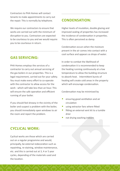Contractors to PHA Homes will contact tenants to make appointments to carry out the repair. This is normally by telephone.

We require our contractors to ensure that works are carried out with the minimum of disruption to you. Contractors are expected to be courteous to you and we would require you to be courteous in return.

### **GAS SERVICING:**

PHA Homes employs the services of a contractor to carry out annual servicing of the gas boilers in our properties. This is a legal requirement, carried out for your safety. You must make every effort to co-operate with the contractor to allow access for the work - which will take less than an hour. This will ensure the safe operation and efficient running of your boiler.

If you should feel drowsy in the vicinity of the boiler and suspect a problem with the boiler, you should immediately open windows to air the room and report the problem.

### **CONDENSATION:**

Higher levels of insulation, double glazing and improved sealing of properties has increased the incidence of condensation in properties. This is often perceived as damp.

Condensation occurs when the moisture present in the air comes into contact with a cool surface and appears as drops of water.

In order to combat the likelihood of condensation it is recommended to keep the heating running continuously at a low temperature to allow the building structure to absorb heat. Intermittent bursts of heating will create cold areas in the property which will encourage condensation.

Condensation may be minimised by

- ensuring good ventilation and air circulation
- using extractor fans where fitted
- fitting an external vent kit to a tumble drier
- not drying washing indoors

## **CYCLICAL WORK:**

Cyclical works are those which are carried out on a regular programme and would, principally, be external redecoration such as repainting, re-staining, window maintenance, etc. and this is carried out at 3, 4 or 5 year cycles, depending of the materials used and the location.